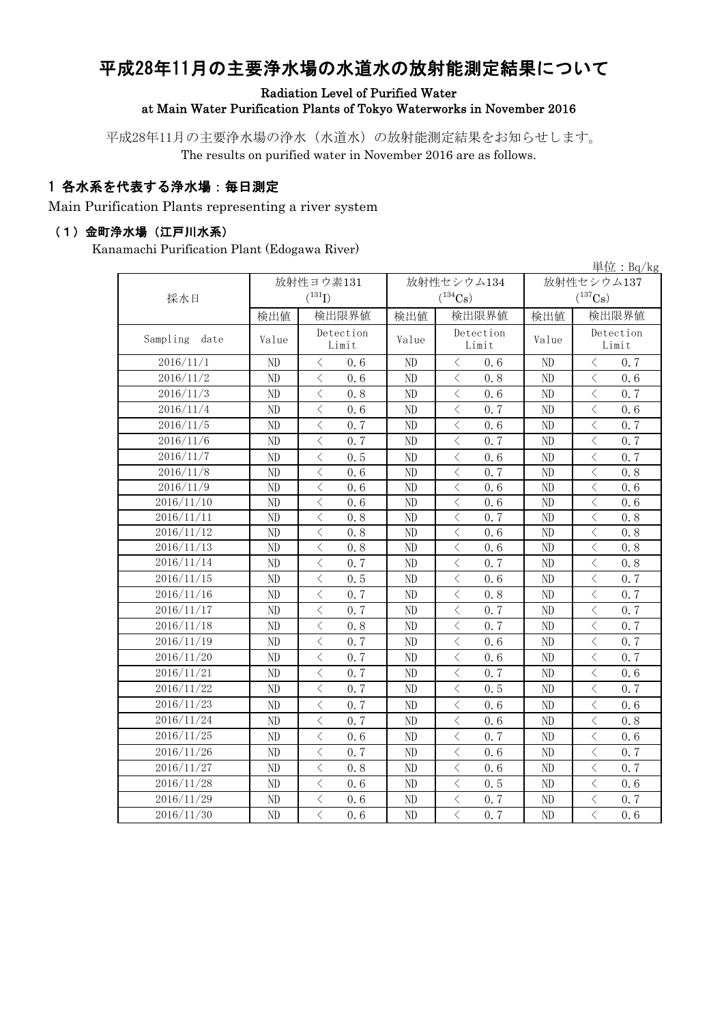# 平成28年11月の主要浄水場の水道水の放射能測定結果について

#### Radiation Level of Purified Water at Main Water Purification Plants of Tokyo Waterworks in November 2016

平成28年11月の主要浄水場の浄水(水道水)の放射能測定結果をお知らせします。 The results on purified water in November 2016 are as follows.

## 1 各水系を代表する浄水場:毎日測定

Main Purification Plants representing a river system

#### (1)金町浄水場(江戸川水系)

Kanamachi Purification Plant (Edogawa River)

|                  |          |                                                 |                |                                                 |                       | 単位: $Bq/kg$                                      |  |
|------------------|----------|-------------------------------------------------|----------------|-------------------------------------------------|-----------------------|--------------------------------------------------|--|
|                  |          | 放射性ヨウ素131                                       |                | 放射性セシウム134                                      | 放射性セシウム137            |                                                  |  |
| 採水日              |          | $(^{131}I)$                                     |                | $(^{134}Cs)$                                    | $(^{137}\mathrm{Cs})$ |                                                  |  |
|                  | 検出値      | 検出限界値                                           | 検出値            | 検出限界値                                           | 検出値                   | 検出限界値                                            |  |
| Sampling<br>date | Value    | Detection<br>Limit                              | Value          | Detection<br>Value<br>Limit                     |                       | Detection<br>Limit                               |  |
| 2016/11/1        | ND       | 0.6<br>$\lt$                                    | ND             | $\langle$<br>0.6                                | ND                    | 0.7<br>$\langle$                                 |  |
| 2016/11/2        | ND       | $\langle$<br>0.6                                | ND             | $\langle$<br>0.8                                | $\rm ND$              | $\overline{\left\langle \right\rangle }$<br>0.6  |  |
| 2016/11/3        | ND       | $\langle$<br>0.8                                | ND             | $\lt$<br>0.6                                    | ND                    | $\langle$<br>0.7                                 |  |
| 2016/11/4        | ND       | $\overline{\left\langle \right\rangle }$<br>0.6 | $\rm ND$       | $\langle$<br>0.7                                | ND                    | $\langle$<br>0.6                                 |  |
| 2016/11/5        | ND       | $\langle$<br>0.7                                | ND             | $\lt$<br>0.6                                    | ND                    | $\langle$<br>0.7                                 |  |
| 2016/11/6        | ND       | $\langle$<br>0, 7                               | ND             | $\langle$<br>0, 7                               | ND                    | $\overline{\left\langle \right\rangle }$<br>0.7  |  |
| 2016/11/7        | $\rm ND$ | $\langle$<br>0.5                                | ND             | $\langle$<br>0.6                                | ND                    | $\langle$<br>0.7                                 |  |
| 2016/11/8        | ND       | $\langle$<br>0.6                                | ND             | $\langle$<br>0.7                                | ND                    | $\lt$<br>0.8                                     |  |
| 2016/11/9        | ND       | $\overline{\left\langle \right\rangle }$<br>0.6 | ND             | $\overline{\left\langle \right\rangle }$<br>0.6 | ND                    | $\overline{\left\langle \right\rangle }$<br>0.6  |  |
| 2016/11/10       | ND       | $\langle$<br>0.6                                | ND             | $\overline{\left\langle \right\rangle }$<br>0.6 | ND                    | $\overline{\left\langle \right\rangle }$<br>0.6  |  |
| 2016/11/11       | ND       | $\langle$<br>0.8                                | N <sub>D</sub> | $\langle$<br>0, 7                               | ND                    | $\overline{\left\langle \right\rangle }$<br>0.8  |  |
| 2016/11/12       | ND       | $\lt$<br>0.8                                    | N <sub>D</sub> | $\lt$<br>0.6                                    | ND                    | $\lt$<br>0.8                                     |  |
| 2016/11/13       | ND       | $\lt$<br>0.8                                    | ND             | $\langle$<br>0.6                                | ND                    | $\lt$<br>0.8                                     |  |
| 2016/11/14       | ND       | $\lt$<br>0.7                                    | ND             | $\, \zeta \,$<br>0.7                            | ND                    | $\lt$<br>0.8                                     |  |
| 2016/11/15       | ND       | 0.5<br>$\langle$                                | ND             | $\langle$<br>0.6                                | ND                    | $\lt$<br>0.7                                     |  |
| 2016/11/16       | ND       | $\langle$<br>0.7                                | ND             | $\langle$<br>0.8                                | ND                    | $\langle$<br>0.7                                 |  |
| 2016/11/17       | ND       | $\langle$<br>0.7                                | ND             | $\langle$<br>0.7                                | ND                    | $\langle$<br>0.7                                 |  |
| 2016/11/18       | ND       | $\overline{\left\langle \right\rangle }$<br>0.8 | ND             | $\langle$<br>0, 7                               | ND                    | $\overline{\left\langle \right\rangle }$<br>0, 7 |  |
| 2016/11/19       | ND       | $\langle$<br>0.7                                | ND             | $\lt$<br>0.6                                    | ND                    | $\langle$<br>0, 7                                |  |
| 2016/11/20       | ND       | $\overline{\left\langle \right\rangle }$<br>0.7 | ND             | $\langle$<br>0.6                                | N <sub>D</sub>        | $\langle$<br>0, 7                                |  |
| 2016/11/21       | ND       | $\overline{\left\langle \right\rangle }$<br>0.7 | $\rm ND$       | $\overline{\left\langle \right\rangle }$<br>0.7 | ND                    | $\overline{\left\langle \right\rangle }$<br>0.6  |  |
| 2016/11/22       | ND       | $\overline{\left\langle \right\rangle }$<br>0.7 | ND             | $\langle$<br>0.5                                | ND                    | $\lt$<br>0.7                                     |  |
| 2016/11/23       | $\rm ND$ | $\lt$<br>0.7                                    | $\rm ND$       | $\lt$<br>0.6                                    | ND                    | $\langle$<br>0.6                                 |  |
| 2016/11/24       | ND       | $\langle$<br>0, 7                               | ND             | 0.6<br>$\langle$                                | ND                    | 0.8<br>$\lt$                                     |  |
| 2016/11/25       | ND       | $\langle$<br>0.6                                | ND             | $\langle$<br>0, 7                               | ND                    | $\langle$<br>0.6                                 |  |
| 2016/11/26       | ND       | $\langle$<br>0.7                                | ND             | $\langle$<br>0.6                                | ND                    | $\lt$<br>0.7                                     |  |
| 2016/11/27       | ND       | $\overline{\left\langle \right\rangle }$<br>0.8 | ND             | $\overline{\left\langle \right\rangle }$<br>0.6 | ND                    | $\overline{\left\langle \right\rangle }$<br>0, 7 |  |
| 2016/11/28       | ND       | $\overline{\left\langle \right\rangle }$<br>0.6 | $\rm ND$       | $\overline{\left\langle \right\rangle }$<br>0.5 | ND                    | $\langle$<br>0.6                                 |  |
| 2016/11/29       | ND       | $\overline{\left\langle \right\rangle }$<br>0.6 | ND             | $\lt$<br>0.7                                    | ND                    | $\lt$<br>0.7                                     |  |
| 2016/11/30       | ND       | $\overline{\langle}$<br>0, 6                    | ND             | $\overline{\langle}$<br>0.7                     | ND                    | $\overline{\left\langle \right\rangle }$<br>0, 6 |  |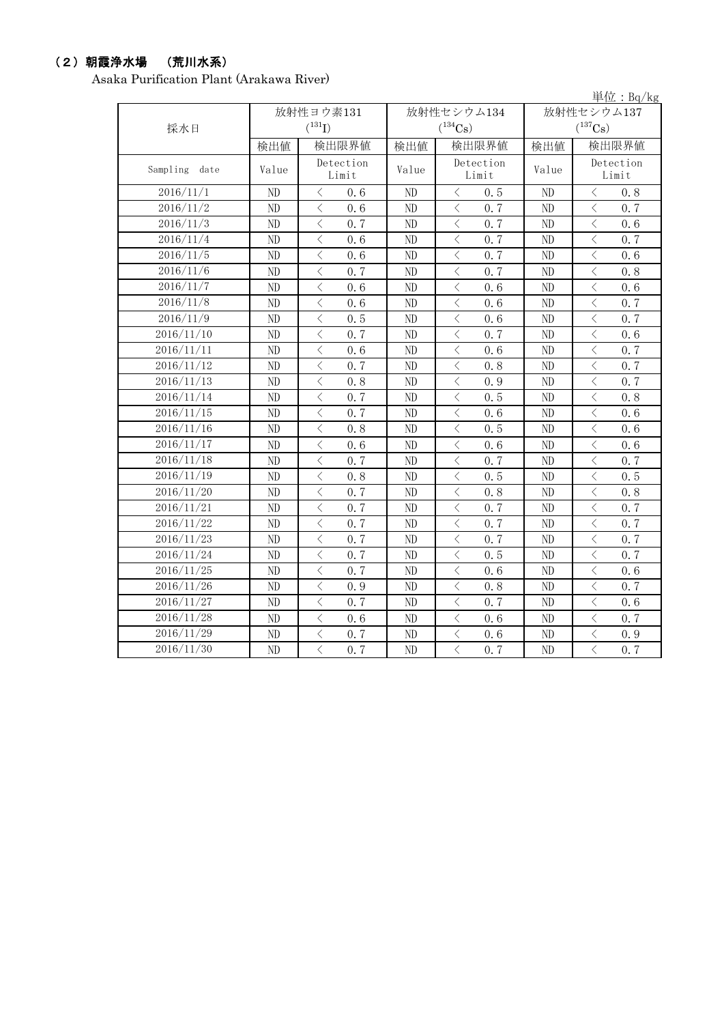### (2)朝霞浄水場 (荒川水系)

Asaka Purification Plant (Arakawa River)

|               |       |                                                  |          |                                                  |                | 単位: $Bq/kg$                                     |  |
|---------------|-------|--------------------------------------------------|----------|--------------------------------------------------|----------------|-------------------------------------------------|--|
|               |       | 放射性ヨウ素131                                        |          | 放射性セシウム134                                       | 放射性セシウム137     |                                                 |  |
| 採水日           |       | $(^{131}I)$                                      |          | $(^{134}Cs)$                                     |                | $(^{137}Cs)$                                    |  |
|               | 検出値   | 検出限界値                                            | 検出値      | 検出限界値                                            | 検出値            | 検出限界値                                           |  |
| Sampling date | Value | Detection<br>Limit                               | Value    | Detection<br>Limit                               | Value          | Detection<br>Limit                              |  |
| 2016/11/1     | ND    | $\langle$<br>0.6                                 | ND       | $\langle$<br>0.5                                 | N <sub>D</sub> | $\langle$<br>0.8                                |  |
| 2016/11/2     | ND    | $\langle$<br>0, 6                                | ND       | $\overline{\left\langle \right\rangle }$<br>0, 7 | ND             | $\overline{\left\langle \right\rangle }$<br>0.7 |  |
| 2016/11/3     | ND    | $\langle$<br>0, 7                                | ND       | $\langle$<br>0, 7                                | ND             | $\langle$<br>0, 6                               |  |
| 2016/11/4     | ND    | $\lt$<br>0.6                                     | ND       | $\langle$<br>0.7                                 | ND             | $\lt$<br>0.7                                    |  |
| 2016/11/5     | ND    | $\langle$<br>0, 6                                | ND       | $\langle$<br>0, 7                                | ND             | $\langle$<br>0.6                                |  |
| 2016/11/6     | ND    | $\lt$<br>0.7                                     | ND       | $\lt$<br>0.7                                     | ND             | $\langle$<br>0.8                                |  |
| 2016/11/7     | ND    | $\langle$<br>0.6                                 | ND       | $\lt$<br>0, 6                                    | ND             | $\langle$<br>0.6                                |  |
| 2016/11/8     | ND    | $\langle$<br>0, 6                                | ND       | $\langle$<br>0, 6                                | ND             | $\langle$<br>0.7                                |  |
| 2016/11/9     | ND    | $\langle$<br>0.5                                 | ND       | $\langle$<br>0.6                                 | ND             | $\langle$<br>0.7                                |  |
| 2016/11/10    | ND    | $\,$ $\,$ $\,$<br>0, 7                           | ND       | $\langle$<br>0.7                                 | ND             | $\langle$<br>0.6                                |  |
| 2016/11/11    | ND    | $\lt$<br>0.6                                     | ND       | $\lt$<br>0.6                                     | ND             | $\lt$<br>0.7                                    |  |
| 2016/11/12    | ND    | $\,$ $\,$ $\,$<br>0.7                            | ND       | $\langle$<br>0.8                                 | ND             | $\overline{\left\langle \right\rangle }$<br>0.7 |  |
| 2016/11/13    | ND    | $\overline{\left\langle \right\rangle }$<br>0, 8 | ND       | $\langle$<br>0.9                                 | N <sub>D</sub> | $\overline{\left\langle \right\rangle }$<br>0.7 |  |
| 2016/11/14    | ND    | $\,$ $\,$ $\,$<br>0.7                            | ND       | $\lt$<br>0.5                                     | ND             | $\lt$<br>0.8                                    |  |
| 2016/11/15    | ND    | $\langle$<br>0, 7                                | ND       | $\langle$<br>0, 6                                | ND             | $\langle$<br>0.6                                |  |
| 2016/11/16    | ND    | $\lt$<br>0.8                                     | ND       | $\langle$<br>0.5                                 | ND             | $\langle$<br>0.6                                |  |
| 2016/11/17    | ND    | $\,$ $\,$ $\,$<br>0.6                            | ND       | $\langle$<br>0.6                                 | ND             | $\langle$<br>0.6                                |  |
| 2016/11/18    | ND    | $\langle$<br>0, 7                                | ND       | $\langle$<br>0.7                                 | ND             | $\langle$<br>0.7                                |  |
| 2016/11/19    | ND    | $\lt$<br>0.8                                     | ND       | $\langle$<br>0.5                                 | ND             | $\langle$<br>0.5                                |  |
| 2016/11/20    | ND    | $\,$ $\,$ $\,$<br>0, 7                           | ND       | 0, 8<br>$\langle$                                | ND             | $\langle$<br>0.8                                |  |
| 2016/11/21    | ND    | $\langle$<br>0.7                                 | ND       | $\lt$<br>0.7                                     | ND             | $\langle$<br>0.7                                |  |
| 2016/11/22    | ND    | $\langle$<br>0, 7                                | ND       | $\langle$<br>0.7                                 | ND             | 0.7<br>$\langle$                                |  |
| 2016/11/23    | ND    | $\langle$<br>0, 7                                | $\rm ND$ | $\langle$<br>0, 7                                | ND             | $\langle$<br>0.7                                |  |
| 2016/11/24    | ND    | $\,$ $\,$ $\,$<br>0.7                            | $\rm ND$ | $\langle$<br>0.5                                 | ND             | $\langle$<br>0.7                                |  |
| 2016/11/25    | ND    | $\langle$<br>0, 7                                | ND       | $\langle$<br>0.6                                 | ND             | $\langle$<br>0.6                                |  |
| 2016/11/26    | ND    | $\lt$<br>0.9                                     | ND       | $\overline{\left\langle \right\rangle }$<br>0.8  | ND             | $\lt$<br>0.7                                    |  |
| 2016/11/27    | ND    | $\,$ $\,$ $\,$<br>0, 7                           | ND       | $\overline{\left\langle \right\rangle }$<br>0, 7 | ND             | $\langle$<br>0.6                                |  |
| 2016/11/28    | ND    | $\langle$<br>0.6                                 | ND       | $\langle$<br>0.6                                 | ND             | $\langle$<br>0.7                                |  |
| 2016/11/29    | ND    | $\langle$<br>0.7                                 | ND       | $\langle$<br>0.6                                 | N <sub>D</sub> | $\overline{\left\langle \right\rangle }$<br>0.9 |  |
| 2016/11/30    | ND    | $\overline{\langle}$<br>0.7                      | ND       | $\langle$<br>0.7                                 | ND             | $\overline{\langle}$<br>0.7                     |  |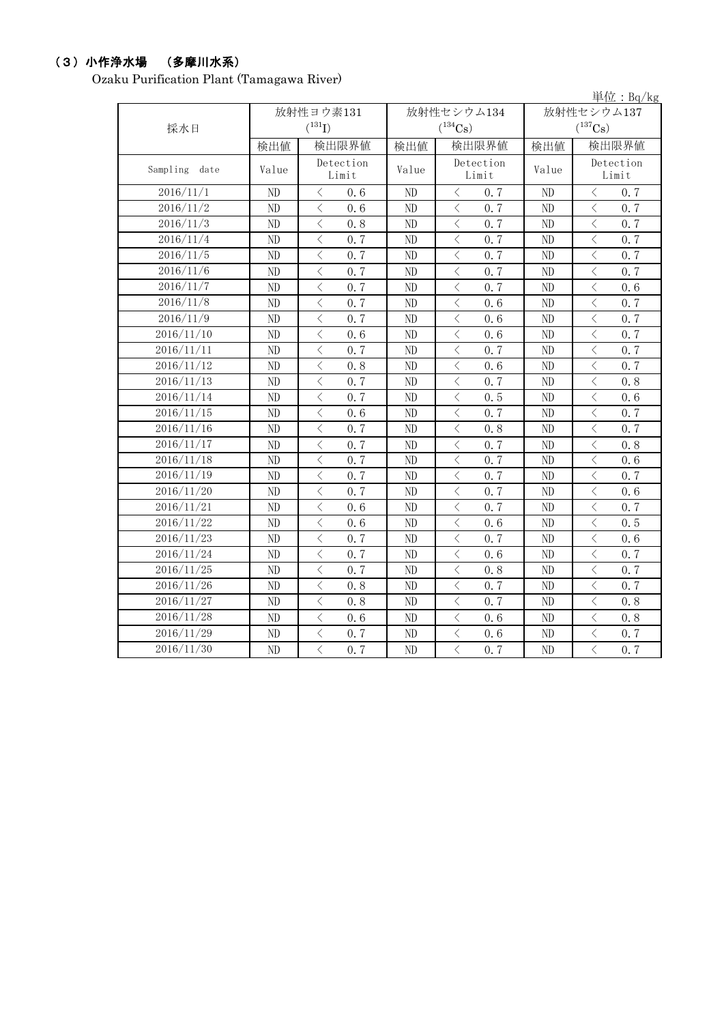## (3)小作浄水場 (多摩川水系)

Ozaku Purification Plant (Tamagawa River)

|               |       |                                                  |       |                              |          | 単位: $Bq/kg$                                     |  |
|---------------|-------|--------------------------------------------------|-------|------------------------------|----------|-------------------------------------------------|--|
|               |       | 放射性ヨウ素131                                        |       | 放射性セシウム134                   |          | 放射性セシウム137                                      |  |
| 採水日           |       | $(^{131}I)$                                      |       | $(^{134}Cs)$                 |          | $(^{137}Cs)$                                    |  |
|               | 検出値   | 検出限界値                                            | 検出値   | 検出限界値                        | 検出値      | 検出限界値                                           |  |
| Sampling date | Value | Detection<br>Limit                               | Value | Detection<br>Limit           | Value    | Detection<br>Limit                              |  |
| 2016/11/1     | ND    | $\langle$<br>0.6                                 | ND    | $\langle$<br>0.7             | ND       | $\langle$<br>0.7                                |  |
| 2016/11/2     | ND    | $\overline{\langle}$<br>0, 6                     | ND    | $\overline{\langle}$<br>0, 7 | ND       | $\langle$<br>0.7                                |  |
| 2016/11/3     | ND    | $\langle$<br>0.8                                 | ND    | $\langle$<br>0.7             | ND       | $\langle$<br>0.7                                |  |
| 2016/11/4     | ND    | $\langle$<br>0.7                                 | ND    | $\lt$<br>0.7                 | ND       | $\lt$<br>0.7                                    |  |
| 2016/11/5     | ND    | $\langle$<br>0.7                                 | ND    | $\langle$<br>0, 7            | ND       | $\,$ $\,$ $\,$<br>0.7                           |  |
| 2016/11/6     | ND    | $\lt$<br>0.7                                     | ND    | $\lt$<br>0.7                 | ND       | $\lt$<br>0.7                                    |  |
| 2016/11/7     | ND    | $\langle$<br>0.7                                 | ND    | $\lt$<br>0.7                 | ND       | $\lt$<br>0.6                                    |  |
| 2016/11/8     | ND    | $\langle$<br>0.7                                 | ND    | $\langle$<br>0.6             | ND       | $\langle$<br>0.7                                |  |
| 2016/11/9     | ND    | $\langle$<br>0.7                                 | ND    | $\langle$<br>0.6             | ND       | $\langle$<br>0.7                                |  |
| 2016/11/10    | ND    | $\,$ $\,$ $\,$<br>0.6                            | ND    | $\langle$<br>0.6             | ND       | $\langle$<br>0.7                                |  |
| 2016/11/11    | ND    | $\lt$<br>0.7                                     | ND    | $\lt$<br>0.7                 | ND       | $\lt$<br>0.7                                    |  |
| 2016/11/12    | ND    | $\langle$<br>0.8                                 | ND    | $\langle$<br>0.6             | ND       | $\langle$<br>0.7                                |  |
| 2016/11/13    | ND    | $\overline{\left\langle \right\rangle }$<br>0.7  | ND    | $\langle$<br>0.7             | ND       | $\overline{\left\langle \right\rangle }$<br>0.8 |  |
| 2016/11/14    | ND    | $\lt$<br>0.7                                     | ND    | $\lt$<br>0.5                 | ND       | $\lt$<br>0.6                                    |  |
| 2016/11/15    | ND    | $\overline{\left\langle \right\rangle }$<br>0, 6 | ND    | $\langle$<br>0.7             | ND       | $\langle$<br>0.7                                |  |
| 2016/11/16    | ND    | $\langle$<br>0.7                                 | ND    | $\langle$<br>0.8             | ND       | $\lt$<br>0.7                                    |  |
| 2016/11/17    | ND    | $\langle$<br>0.7                                 | ND    | $\langle$<br>0.7             | $\rm ND$ | $\lt$<br>0.8                                    |  |
| 2016/11/18    | ND    | $\langle$<br>0.7                                 | ND    | $\langle$<br>0.7             | ND       | $\langle$<br>0.6                                |  |
| 2016/11/19    | ND    | $\langle$<br>0.7                                 | ND    | $\langle$<br>0.7             | ND       | $\lt$<br>0.7                                    |  |
| 2016/11/20    | ND    | $\overline{\left\langle \right\rangle }$<br>0.7  | ND    | $\lt$<br>0, 7                | ND       | $\langle$<br>0.6                                |  |
| 2016/11/21    | ND    | $\lt$<br>0.6                                     | ND    | $\lt$<br>0.7                 | $\rm ND$ | $\lt$<br>0.7                                    |  |
| 2016/11/22    | ND    | $\langle$<br>0.6                                 | ND    | $\lt$<br>0, 6                | ND       | $\lt$<br>0.5                                    |  |
| 2016/11/23    | ND    | $\langle$<br>0.7                                 | ND    | $\langle$<br>0.7             | ND       | $\langle$<br>0, 6                               |  |
| 2016/11/24    | ND    | $\langle$<br>0, 7                                | ND    | $\langle$<br>0.6             | ND       | $\langle$<br>0.7                                |  |
| 2016/11/25    | ND    | $\langle$<br>0, 7                                | ND    | $\langle$<br>0.8             | ND       | $\langle$<br>0.7                                |  |
| 2016/11/26    | ND    | $\langle$<br>0.8                                 | ND    | $\lt$<br>0.7                 | ND       | $\lt$<br>0.7                                    |  |
| 2016/11/27    | ND    | $\langle$<br>0.8                                 | ND    | $\langle$<br>0, 7            | ND       | $\langle$<br>0.8                                |  |
| 2016/11/28    | ND    | $\langle$<br>0, 6                                | ND    | $\langle$<br>0, 6            | ND       | $\langle$<br>0.8                                |  |
| 2016/11/29    | ND    | $\langle$<br>0.7                                 | ND    | $\lt$<br>0.6                 | ND       | $\overline{\left\langle \right\rangle }$<br>0.7 |  |
| 2016/11/30    | ND    | $\overline{\langle}$<br>0.7                      | ND    | $\langle$<br>0.7             | ND       | $\overline{\langle}$<br>0.7                     |  |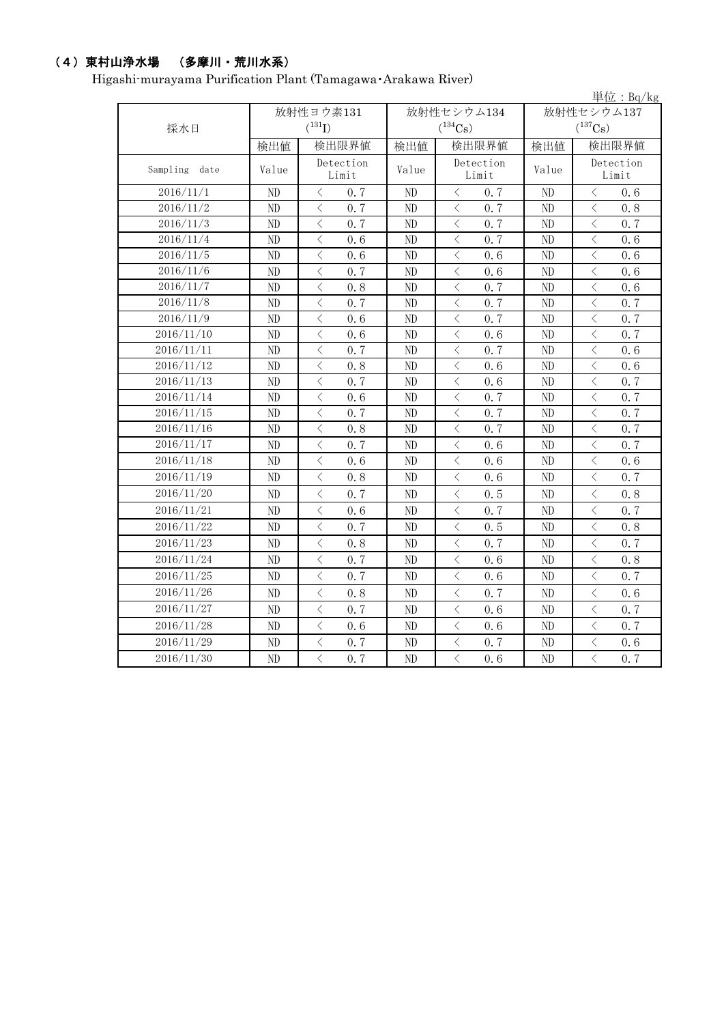## (4)東村山浄水場 (多摩川・荒川水系)

Higashi-murayama Purification Plant (Tamagawa・Arakawa River)

|                  |          |                                                  |                |                                                  |                | 単位: $Bq/kg$                                                                                                                                                                         |  |
|------------------|----------|--------------------------------------------------|----------------|--------------------------------------------------|----------------|-------------------------------------------------------------------------------------------------------------------------------------------------------------------------------------|--|
|                  |          | 放射性ヨウ素131                                        |                | 放射性セシウム134                                       | 放射性セシウム137     |                                                                                                                                                                                     |  |
| 採水日              |          | $(^{131}I)$                                      |                | $(^{134}Cs)$                                     |                | $(^{137}Cs)$                                                                                                                                                                        |  |
|                  | 検出値      | 検出限界値                                            | 検出値            | 検出限界値                                            | 検出値            | 検出限界値                                                                                                                                                                               |  |
| Sampling<br>date | Value    | Detection                                        | Value          | Detection                                        | Value          | Detection                                                                                                                                                                           |  |
|                  |          | Limit                                            |                | Limit                                            |                | Limit                                                                                                                                                                               |  |
| 2016/11/1        | ND       | $\langle$<br>0.7                                 | ND             | $\langle$<br>0, 7                                | ND             | $\langle$<br>0, 6                                                                                                                                                                   |  |
| 2016/11/2        | ND       | $\lt$<br>0.7                                     | N <sub>D</sub> | $\langle$<br>0.7                                 | N <sub>D</sub> | $\lt$<br>0.8                                                                                                                                                                        |  |
| 2016/11/3        | ND       | $\lt$<br>0.7                                     | ND             | $\langle$<br>0.7                                 | ND             | $\lt$<br>0.7                                                                                                                                                                        |  |
| 2016/11/4        | ND       | $\lt$<br>0.6                                     | ND             | $\langle$<br>0.7                                 | ND             | $\langle$<br>0.6                                                                                                                                                                    |  |
| 2016/11/5        | ND       | 0.6<br>$\langle$                                 | ND             | $\langle$<br>0, 6                                | N <sub>D</sub> | $\langle$<br>0.6                                                                                                                                                                    |  |
| 2016/11/6        | $\rm ND$ | $\lt$<br>0, 7                                    | ND             | 0.6<br>$\langle$                                 | ND             | $\lt$<br>0.6                                                                                                                                                                        |  |
| 2016/11/7        | ND       | $\langle$<br>0.8                                 | ND             | $\langle$<br>0, 7                                | ND             | $\, < \,$<br>0.6                                                                                                                                                                    |  |
| 2016/11/8        | ND       | $\langle$<br>0.7                                 | ND             | $\langle$<br>0.7                                 | ND             | $\langle$<br>0.7                                                                                                                                                                    |  |
| 2016/11/9        | ND       | $\langle$<br>0.6                                 | ND             | $\langle$<br>0, 7                                | ND             | $\langle$<br>0.7                                                                                                                                                                    |  |
| 2016/11/10       | ND       | $\langle$<br>0.6                                 | ND             | $\langle$<br>0.6                                 | ND             | $\langle$<br>0.7                                                                                                                                                                    |  |
| 2016/11/11       | ND       | $\lt$<br>0.7                                     | ND             | $\langle$<br>0.7                                 | ND             | $\lt$<br>0.6                                                                                                                                                                        |  |
| 2016/11/12       | ND       | $\overline{\left\langle \right\rangle }$<br>0.8  | ND             | $\langle$<br>0.6                                 | ND             | $\langle$<br>0.6                                                                                                                                                                    |  |
| 2016/11/13       | ND       | $\overline{\left\langle \right\rangle }$<br>0, 7 | ND             | $\langle$<br>0, 6                                | ND             | $\lt$<br>0.7                                                                                                                                                                        |  |
| 2016/11/14       | ND       | $\langle$<br>0.6                                 | ND             | $\langle$<br>0, 7                                | ND             | $\,$ $\,$ $\,$<br>0.7                                                                                                                                                               |  |
| 2016/11/15       | ND       | $\overline{\left\langle \right\rangle }$<br>0.7  | ND             | $\lt$<br>0.7                                     | ND             | $\,$ $\,$ $\,$<br>0.7                                                                                                                                                               |  |
| 2016/11/16       | ND       | $\lt$<br>0.8                                     | ND             | $\lt$<br>0.7                                     | ND             | $\langle$<br>0.7                                                                                                                                                                    |  |
| 2016/11/17       | ND       | $\overline{\langle}$<br>0.7                      | ND             | $\overline{\left\langle \right\rangle }$<br>0, 6 | N <sub>D</sub> | $\overline{\left\langle \right\rangle }$<br>0.7                                                                                                                                     |  |
| 2016/11/18       | ND       | $\langle$<br>0, 6                                | ND             | $\langle$<br>0, 6                                | ND             | $\langle$<br>0.6                                                                                                                                                                    |  |
| 2016/11/19       | ND       | $\overline{\left\langle \right\rangle }$<br>0.8  | ND             | $\langle$<br>0.6                                 | N <sub>D</sub> | $\langle$<br>0.7                                                                                                                                                                    |  |
| 2016/11/20       | ND       | $\lt$<br>0.7                                     | ND             | 0.5<br>$\lt$                                     | ND             | $\lt$<br>0.8                                                                                                                                                                        |  |
| 2016/11/21       | ND       | $\langle$<br>0.6                                 | ND             | $\lt$<br>0.7                                     | ND             | $\,$ $\,$ $\,$<br>0.7                                                                                                                                                               |  |
| 2016/11/22       | ND       | $\langle$<br>0, 7                                | ND             | $\langle$<br>0.5                                 | ND             | $\lt$<br>0.8                                                                                                                                                                        |  |
| 2016/11/23       | ND       | $\langle$<br>0.8                                 | ND             | $\langle$<br>0.7                                 | N <sub>D</sub> | $\overline{\left\langle \right. }% ,\left\langle \overline{\left\langle \right. }% ,\left\langle \overline{\left\langle \right. }\right\rangle \right\rangle \left. \right.$<br>0.7 |  |
| 2016/11/24       | ND       | $\overline{\left\langle \right\rangle }$<br>0.7  | ND             | $\langle$<br>0, 6                                | ND             | $\overline{\left\langle \right. }% ,\left\langle \overline{\left\langle \right. }% ,\left\langle \overline{\left\langle \right. }\right\rangle \right\rangle \left. \right.$<br>0.8 |  |
| 2016/11/25       | ND       | $\langle$<br>0.7                                 | ND             | $\langle$<br>0.6                                 | ND             | $\langle$<br>0.7                                                                                                                                                                    |  |
| 2016/11/26       | ND       | $\langle$<br>0.8                                 | ND             | $\lt$<br>0, 7                                    | ND             | $\lt$<br>0.6                                                                                                                                                                        |  |
| 2016/11/27       | ND       | 0.7<br>$\langle$                                 | ND             | 0.6<br>$\langle$                                 | ND             | $\langle$<br>0.7                                                                                                                                                                    |  |
| 2016/11/28       | ND       | $\langle$<br>0.6                                 | ND             | $\langle$<br>0, 6                                | ND             | $\langle$<br>0.7                                                                                                                                                                    |  |
| 2016/11/29       | ND       | $\lt$<br>0.7                                     | ND             | $\langle$<br>0.7                                 | N <sub>D</sub> | $\langle$<br>0, 6                                                                                                                                                                   |  |
| 2016/11/30       | ND       | $\overline{\left\langle \right\rangle }$<br>0.7  | ND             | $\langle$<br>0.6                                 | ND             | $\overline{\left\langle \right\rangle }$<br>0.7                                                                                                                                     |  |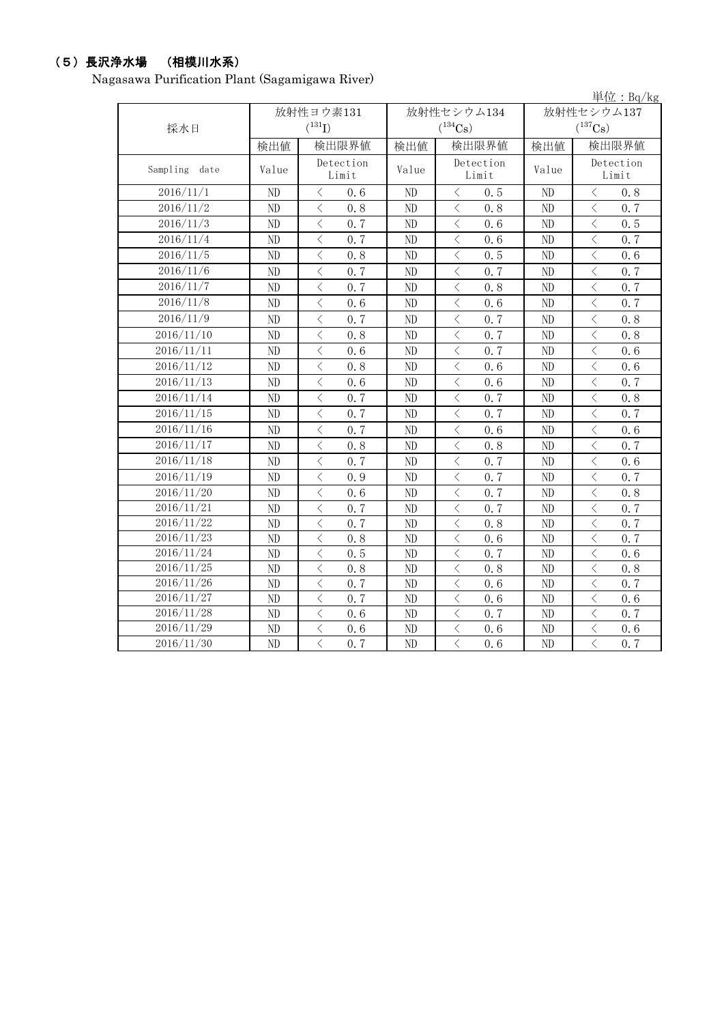## (5)長沢浄水場 (相模川水系)

Nagasawa Purification Plant (Sagamigawa River)

|               |          |                                                 |          |                                                 |                | 単位: $Bq/kg$                                     |
|---------------|----------|-------------------------------------------------|----------|-------------------------------------------------|----------------|-------------------------------------------------|
|               |          | 放射性ヨウ素131                                       |          | 放射性セシウム134                                      |                | 放射性セシウム137                                      |
| 採水日           |          | $(^{131}I)$                                     |          | $(^{134}Cs)$                                    |                | $(^{137}Cs)$                                    |
|               | 検出値      | 検出限界値                                           | 検出値      | 検出限界値                                           | 検出値            | 検出限界値                                           |
| Sampling date | Value    | Detection<br>Limit                              | Value    | Detection<br>Limit                              | Value          | Detection<br>Limit                              |
| 2016/11/1     | ND       | $\langle$<br>0, 6                               | $\rm ND$ | $\langle$<br>0.5                                | ND             | $\langle$<br>0.8                                |
| 2016/11/2     | ND       | $\overline{\left\langle \right\rangle }$<br>0.8 | ND       | $\overline{\left\langle \right\rangle }$<br>0.8 | N <sub>D</sub> | $\overline{\left\langle \right\rangle }$<br>0.7 |
| 2016/11/3     | ND       | $\, <\,$<br>0.7                                 | ND       | $\, \zeta \,$<br>0, 6                           | N <sub>D</sub> | $\lt$<br>0.5                                    |
| 2016/11/4     | ND       | $\langle$<br>0.7                                | ND       | $\langle$<br>0.6                                | ND             | $\langle$<br>0.7                                |
| 2016/11/5     | ND       | $\overline{\left\langle \right\rangle }$<br>0.8 | ND       | $\langle$<br>0, 5                               | ND             | $\lt$<br>0.6                                    |
| 2016/11/6     | ND       | $\langle$<br>0.7                                | ND       | $\langle$<br>0, 7                               | ND             | $\langle$<br>0.7                                |
| 2016/11/7     | ND       | $\overline{\left\langle \right\rangle }$<br>0.7 | ND       | $\langle$<br>0.8                                | N <sub>D</sub> | $\langle$<br>0.7                                |
| 2016/11/8     | ND       | $\langle$<br>0.6                                | ND       | $\langle$<br>0, 6                               | ND             | $\langle$<br>0.7                                |
| 2016/11/9     | ND       | $\langle$<br>0.7                                | ND       | $\langle$<br>0.7                                | ND             | $\langle$<br>0.8                                |
| 2016/11/10    | ND       | $\overline{\langle}$<br>0.8                     | ND       | $\langle$<br>0.7                                | ND             | $\overline{\left\langle \right\rangle }$<br>0.8 |
| 2016/11/11    | $\rm ND$ | $\,$ $\,$ $\,$<br>0.6                           | ND       | $\overline{\left\langle \right\rangle }$<br>0.7 | ND             | $\lt$<br>0.6                                    |
| 2016/11/12    | ND       | $\langle$<br>0.8                                | ND       | $\overline{\left\langle \right\rangle }$<br>0.6 | ND             | $\lt$<br>0.6                                    |
| 2016/11/13    | $\rm ND$ | $\lt$<br>0.6                                    | ND       | $\lt$<br>0.6                                    | ND             | $\lt$<br>0.7                                    |
| 2016/11/14    | $\rm ND$ | $\lt$<br>0.7                                    | ND       | $\langle$<br>0.7                                | ND             | $\lt$<br>0.8                                    |
| 2016/11/15    | ND       | $\overline{\left\langle \right\rangle }$<br>0.7 | ND       | $\langle$<br>0.7                                | ND             | $\langle$<br>0.7                                |
| 2016/11/16    | ND       | $\langle$<br>0.7                                | ND       | $\langle$<br>0.6                                | ND             | $\langle$<br>0.6                                |
| 2016/11/17    | ND       | $\langle$<br>0.8                                | ND       | $\langle$<br>0.8                                | ND             | $\langle$<br>0.7                                |
| 2016/11/18    | ND       | $\overline{\left\langle \right\rangle }$<br>0.7 | ND       | $\overline{\left\langle \right\rangle }$<br>0.7 | ND             | $\langle$<br>0.6                                |
| 2016/11/19    | ND       | $\langle$<br>0.9                                | ND       | $\overline{\left\langle \right\rangle }$<br>0.7 | ND             | $\langle$<br>0.7                                |
| 2016/11/20    | ND       | $\langle$<br>0, 6                               | ND       | $\langle$<br>0, 7                               | ND             | $\langle$<br>0.8                                |
| 2016/11/21    | ND       | $\langle$<br>0.7                                | ND       | $\langle$<br>0, 7                               | ND             | $\langle$<br>0.7                                |
| 2016/11/22    | ND       | $\langle$<br>0, 7                               | ND       | $\langle$<br>0.8                                | ND             | $\langle$<br>0.7                                |
| 2016/11/23    | ND       | $\langle$<br>0.8                                | ND       | $\langle$<br>0.6                                | ND             | $\langle$<br>0.7                                |
| 2016/11/24    | ND       | $\langle$<br>0.5                                | ND       | $\langle$<br>0, 7                               | ND             | $\lt$<br>0.6                                    |
| 2016/11/25    | ND       | $\langle$<br>0.8                                | ND       | $\langle$<br>0.8                                | N <sub>D</sub> | $\lt$<br>0.8                                    |
| 2016/11/26    | ND       | $\langle$<br>0, 7                               | ND       | $\langle$<br>0.6                                | N <sub>D</sub> | $\langle$<br>0.7                                |
| 2016/11/27    | ND       | $\langle$<br>0, 7                               | ND       | $\langle$<br>0, 6                               | ND             | $\langle$<br>0.6                                |
| 2016/11/28    | ND       | $\lt$<br>0, 6                                   | ND       | $\langle$<br>0, 7                               | N <sub>D</sub> | $\langle$<br>$0, \overline{7}$                  |
| 2016/11/29    | ND       | $\langle$<br>0.6                                | ND       | $\langle$<br>0.6                                | N <sub>D</sub> | $\lt$<br>0.6                                    |
| 2016/11/30    | ND       | $\overline{\langle}$<br>0, 7                    | ND       | $\overline{\langle}$<br>0, 6                    | ND             | $\overline{\langle}$<br>0.7                     |